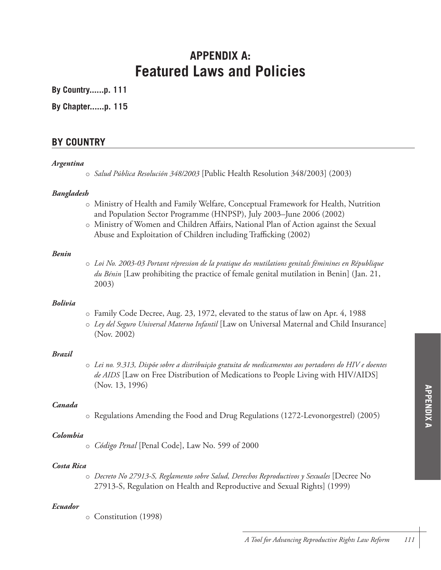# **APPENDIX A: Featured Laws and Policies**

**By Country......p. 111**

**By Chapter......p. 115**

## **BY COUNTRY**

#### *Argentina*

o *Salud Pública Resolución 348/2003* [Public Health Resolution 348/2003] (2003)

#### *Bangladesh*

- o Ministry of Health and Family Welfare, Conceptual Framework for Health, Nutrition and Population Sector Programme (HNPSP), July 2003–June 2006 (2002)
- o Ministry of Women and Children Affairs, National Plan of Action against the Sexual Abuse and Exploitation of Children including Trafficking (2002)

#### *Benin*

o *Loi No. 2003-03 Portant répression de la pratique des mutilations genitals féminines en République du Bénin* [Law prohibiting the practice of female genital mutilation in Benin] (Jan. 21, 2003)

#### *Bolivia*

- o Family Code Decree, Aug. 23, 1972, elevated to the status of law on Apr. 4, 1988
- o *Ley del Seguro Universal Materno Infantil* [Law on Universal Maternal and Child Insurance] (Nov. 2002)

## *Brazil*

o *Lei no. 9.313, Dispõe sobre a distribuição gratuita de medicamentos aos portadores do HIV e doentes de AIDS* [Law on Free Distribution of Medications to People Living with HIV/AIDS] (Nov. 13, 1996)

## *Canada*

o Regulations Amending the Food and Drug Regulations (1272-Levonorgestrel) (2005)

## *Colombia*

o *Código Penal* [Penal Code], Law No. 599 of 2000

#### *Costa Rica*

o *Decreto No 27913-S, Reglamento sobre Salud, Derechos Reproductivos y Sexuales* [Decree No 27913-S, Regulation on Health and Reproductive and Sexual Rights] (1999)

## *Ecuador*

o Constitution (1998)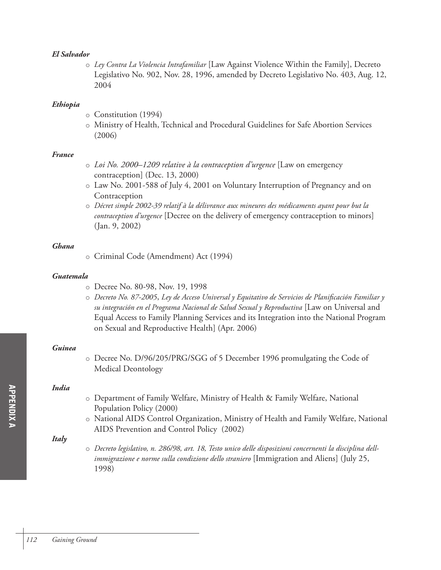## *El Salvador*

o *Ley Contra La Violencia Intrafamiliar* [Law Against Violence Within the Family], Decreto Legislativo No. 902, Nov. 28, 1996, amended by Decreto Legislativo No. 403, Aug. 12, 2004

### *Ethiopia*

- o Constitution (1994)
- o Ministry of Health, Technical and Procedural Guidelines for Safe Abortion Services (2006)

## *France*

- o *Loi No. 2000–1209 relative à la contraception d'urgence* [Law on emergency contraception] (Dec. 13, 2000)
- o Law No. 2001-588 of July 4, 2001 on Voluntary Interruption of Pregnancy and on Contraception
- o *Décret simple 2002-39 relatif à la délivrance aux mineures des médicaments ayant pour but la contraception d'urgence* [Decree on the delivery of emergency contraception to minors] (Jan. 9, 2002)

#### *Ghana*

o Criminal Code (Amendment) Act (1994)

## *Guatemala*

- o Decree No. 80-98, Nov. 19, 1998
- o *Decreto No. 87-2005*, *Ley de Acceso Universal y Equitativo de Servicios de Planificación Familiar y su integración en el Programa Nacional de Salud Sexual y Reproductiva* [Law on Universal and Equal Access to Family Planning Services and its Integration into the National Program on Sexual and Reproductive Health] (Apr. 2006)

### *Guinea*

o Decree No. D/96/205/PRG/SGG of 5 December 1996 promulgating the Code of Medical Deontology

## *India*

- o Department of Family Welfare, Ministry of Health & Family Welfare, National Population Policy (2000)
- o National AIDS Control Organization, Ministry of Health and Family Welfare, National AIDS Prevention and Control Policy (2002)

## *Italy*

o *Decreto legislativo, n. 286/98, art. 18, Testo unico delle disposizioni concernenti la disciplina dellimmigrazione e norme sulla condizione dello straniero* [Immigration and Aliens] (July 25, 1998)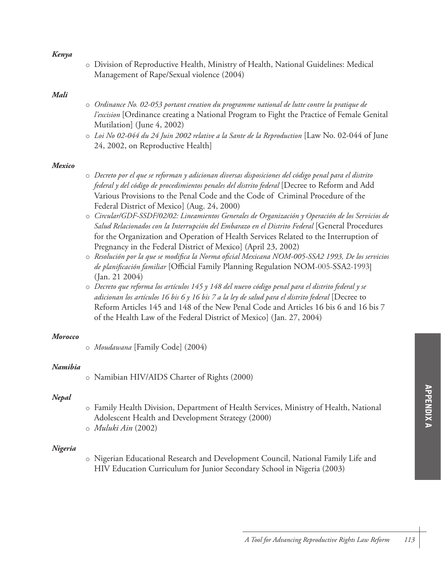#### *Kenya*

o Division of Reproductive Health, Ministry of Health, National Guidelines: Medical Management of Rape/Sexual violence (2004)

#### *Mali*

- o *Ordinance No. 02-053 portant creation du programme national de lutte contre la pratique de l'excision* [Ordinance creating a National Program to Fight the Practice of Female Genital Mutilation] (June 4, 2002)
- o *Loi No 02-044 du 24 Juin 2002 relative a la Sante de la Reproduction* [Law No. 02-044 of June 24, 2002, on Reproductive Health]

#### *Mexico*

- o *Decreto por el que se reforman y adicionan diversas disposiciones del código penal para el distrito federal y del código de procedimientos penales del distrito federal* [Decree to Reform and Add Various Provisions to the Penal Code and the Code of Criminal Procedure of the Federal District of Mexico] (Aug. 24, 2000)
- o *Circular/GDF-SSDF/02/02: Lineamientos Generales de Organización y Operación de los Servicios de Salud Relacionados con la Interrupción del Embarazo en el Distrito Federal* [General Procedures for the Organization and Operation of Health Services Related to the Interruption of Pregnancy in the Federal District of Mexico] (April 23, 2002)
- o *Resolución por la que se modifica la Norma oficial Mexicana NOM-005-SSA2 1993, De los servicios de planificación familiar* [Official Family Planning Regulation NOM-005-SSA2-1993] (Jan. 21 2004)
- o *Decreto que reforma los artículos 145 y 148 del nuevo código penal para el distrito federal y se adicionan los artículos 16 bis 6 y 16 bis 7 a la ley de salud para el distrito federal* [Decree to Reform Articles 145 and 148 of the New Penal Code and Articles 16 bis 6 and 16 bis 7 of the Health Law of the Federal District of Mexico] (Jan. 27, 2004)

#### *Morocco*

o *Moudawana* [Family Code] (2004)

#### *Namibia*

o Namibian HIV/AIDS Charter of Rights (2000)

#### *Nepal*

- o Family Health Division, Department of Health Services, Ministry of Health, National Adolescent Health and Development Strategy (2000)
- o *Muluki Ain* (2002)

#### *Nigeria*

o Nigerian Educational Research and Development Council, National Family Life and HIV Education Curriculum for Junior Secondary School in Nigeria (2003)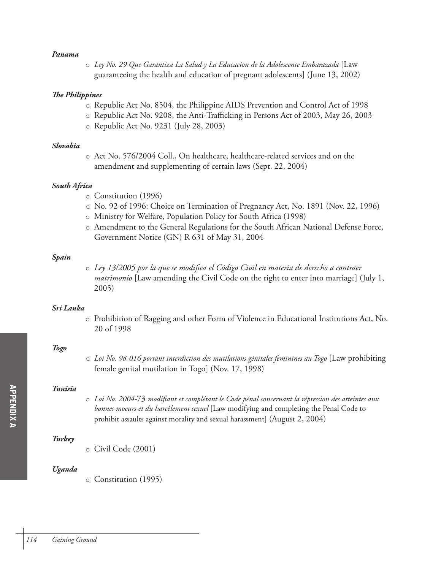#### *Panama*

o *Ley No. 29 Que Garantiza La Salud y La Educacion de la Adolescente Embarazada* [Law guaranteeing the health and education of pregnant adolescents] (June 13, 2002)

#### *The Philippines*

- o Republic Act No. 8504, the Philippine AIDS Prevention and Control Act of 1998
- o Republic Act No. 9208, the Anti-Trafficking in Persons Act of 2003, May 26, 2003
- o Republic Act No. 9231 (July 28, 2003)

#### *Slovakia*

o Act No. 576/2004 Coll., On healthcare, healthcare-related services and on the amendment and supplementing of certain laws (Sept. 22, 2004)

#### *South Africa*

- o Constitution (1996)
- o No. 92 of 1996: Choice on Termination of Pregnancy Act, No. 1891 (Nov. 22, 1996)
- o Ministry for Welfare, Population Policy for South Africa (1998)
- o Amendment to the General Regulations for the South African National Defense Force, Government Notice (GN) R 631 of May 31, 2004

#### *Spain*

o *Ley 13/2005 por la que se modifica el Código Civil en materia de derecho a contraer matrimonio* [Law amending the Civil Code on the right to enter into marriage] (July 1, 2005)

#### *Sri Lanka*

o Prohibition of Ragging and other Form of Violence in Educational Institutions Act, No. 20 of 1998

## *Togo*

o *Loi No. 98-016 portant interdiction des mutilations génitales feminines au Togo* [Law prohibiting female genital mutilation in Togo] (Nov. 17, 1998)

#### *Tunisia*

o *Loi No. 2004-*73 *modifiant et complétant le Code pénal concernant la répression des atteintes aux bonnes moeurs et du harcèlement sexuel* [Law modifying and completing the Penal Code to prohibit assaults against morality and sexual harassment] (August 2, 2004)

## *Turkey*

o Civil Code (2001)

#### *Uganda*

o Constitution (1995)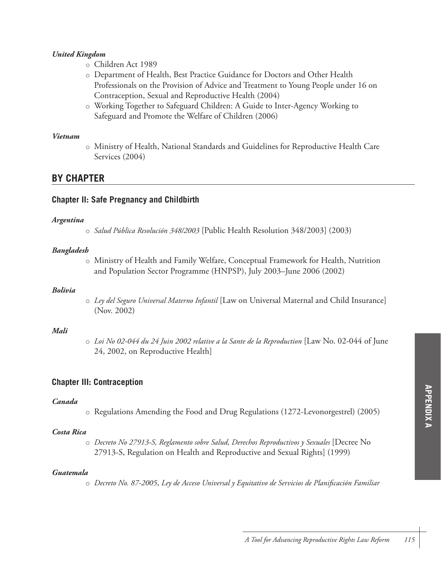## *United Kingdom*

- o Children Act 1989
- o Department of Health, Best Practice Guidance for Doctors and Other Health Professionals on the Provision of Advice and Treatment to Young People under 16 on Contraception, Sexual and Reproductive Health (2004)
- o Working Together to Safeguard Children: A Guide to Inter-Agency Working to Safeguard and Promote the Welfare of Children (2006)

### *Vietnam*

o Ministry of Health, National Standards and Guidelines for Reproductive Health Care Services (2004)

## **BY CHAPTER**

## **Chapter II: Safe Pregnancy and Childbirth**

## *Argentina*

o *Salud Pública Resolución 348/2003* [Public Health Resolution 348/2003] (2003)

## *Bangladesh*

o Ministry of Health and Family Welfare, Conceptual Framework for Health, Nutrition and Population Sector Programme (HNPSP), July 2003–June 2006 (2002)

## *Bolivia*

o *Ley del Seguro Universal Materno Infantil* [Law on Universal Maternal and Child Insurance] (Nov. 2002)

## *Mali*

o *Loi No 02-044 du 24 Juin 2002 relative a la Sante de la Reproduction* [Law No. 02-044 of June 24, 2002, on Reproductive Health]

## **Chapter III: Contraception**

## *Canada*

o Regulations Amending the Food and Drug Regulations (1272-Levonorgestrel) (2005)

## *Costa Rica*

o *Decreto No 27913-S, Reglamento sobre Salud, Derechos Reproductivos y Sexuales* [Decree No 27913-S, Regulation on Health and Reproductive and Sexual Rights] (1999)

## *Guatemala*

o *Decreto No. 87-2005*, *Ley de Acceso Universal y Equitativo de Servicios de Planificación Familiar*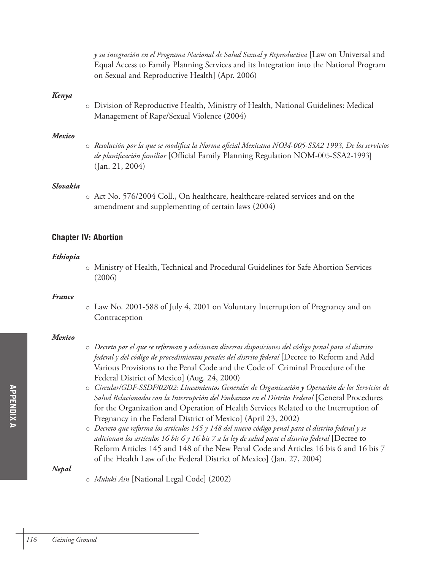*y su integración en el Programa Nacional de Salud Sexual y Reproductiva* [Law on Universal and Equal Access to Family Planning Services and its Integration into the National Program on Sexual and Reproductive Health] (Apr. 2006)

#### *Kenya*

o Division of Reproductive Health, Ministry of Health, National Guidelines: Medical Management of Rape/Sexual Violence (2004)

#### *Mexico*

o *Resolución por la que se modifica la Norma oficial Mexicana NOM-005-SSA2 1993, De los servicios de planificación familiar* [Official Family Planning Regulation NOM-005-SSA2-1993] (Jan. 21, 2004)

#### *Slovakia*

o Act No. 576/2004 Coll., On healthcare, healthcare-related services and on the amendment and supplementing of certain laws (2004)

## **Chapter IV: Abortion**

#### *Ethiopia*

o Ministry of Health, Technical and Procedural Guidelines for Safe Abortion Services (2006)

#### *France*

o Law No. 2001-588 of July 4, 2001 on Voluntary Interruption of Pregnancy and on Contraception

#### *Mexico*

- o *Decreto por el que se reforman y adicionan diversas disposiciones del código penal para el distrito federal y del código de procedimientos penales del distrito federal* [Decree to Reform and Add Various Provisions to the Penal Code and the Code of Criminal Procedure of the Federal District of Mexico] (Aug. 24, 2000)
- o *Circular/GDF-SSDF/02/02: Lineamientos Generales de Organización y Operación de los Servicios de Salud Relacionados con la Interrupción del Embarazo en el Distrito Federal* [General Procedures for the Organization and Operation of Health Services Related to the Interruption of Pregnancy in the Federal District of Mexico] (April 23, 2002)
- o *Decreto que reforma los artículos 145 y 148 del nuevo código penal para el distrito federal y se adicionan los artículos 16 bis 6 y 16 bis 7 a la ley de salud para el distrito federal* [Decree to Reform Articles 145 and 148 of the New Penal Code and Articles 16 bis 6 and 16 bis 7 of the Health Law of the Federal District of Mexico] (Jan. 27, 2004)

*Nepal* 

o *Muluki Ain* [National Legal Code] (2002)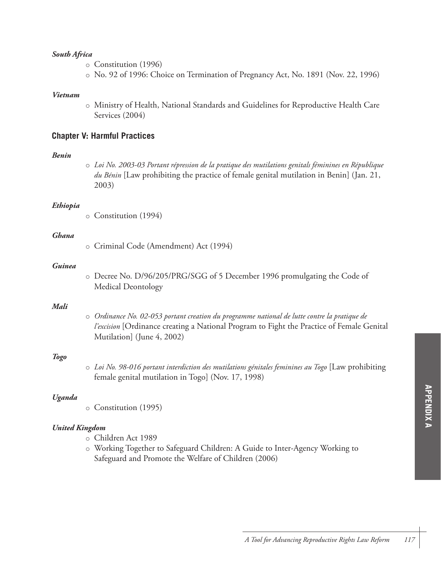#### *South Africa*

- o Constitution (1996)
- o No. 92 of 1996: Choice on Termination of Pregnancy Act, No. 1891 (Nov. 22, 1996)

#### *Vietnam*

o Ministry of Health, National Standards and Guidelines for Reproductive Health Care Services (2004)

## **Chapter V: Harmful Practices**

#### *Benin*

o *Loi No. 2003-03 Portant répression de la pratique des mutilations genitals féminines en République du Bénin* [Law prohibiting the practice of female genital mutilation in Benin] (Jan. 21, 2003)

#### *Ethiopia*

o Constitution (1994)

#### *Ghana*

o Criminal Code (Amendment) Act (1994)

#### *Guinea*

o Decree No. D/96/205/PRG/SGG of 5 December 1996 promulgating the Code of Medical Deontology

#### *Mali*

o *Ordinance No. 02-053 portant creation du programme national de lutte contre la pratique de l'excision* [Ordinance creating a National Program to Fight the Practice of Female Genital Mutilation] (June 4, 2002)

#### *Togo*

o *Loi No. 98-016 portant interdiction des mutilations génitales feminines au Togo* [Law prohibiting female genital mutilation in Togo] (Nov. 17, 1998)

#### *Uganda*

o Constitution (1995)

## *United Kingdom*

- o Children Act 1989
- o Working Together to Safeguard Children: A Guide to Inter-Agency Working to Safeguard and Promote the Welfare of Children (2006)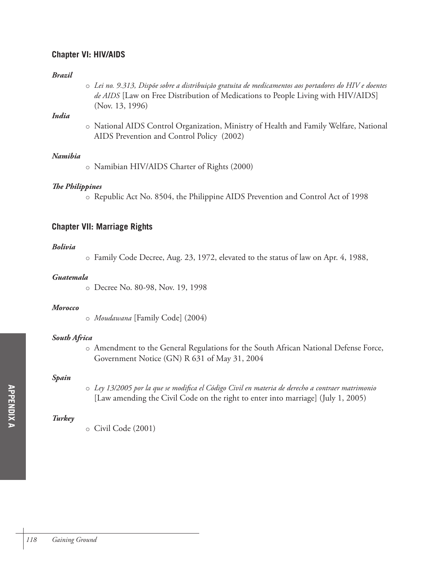## **Chapter VI: HIV/AIDS**

#### *Brazil*

o *Lei no. 9.313, Dispõe sobre a distribuição gratuita de medicamentos aos portadores do HIV e doentes de AIDS* [Law on Free Distribution of Medications to People Living with HIV/AIDS] (Nov. 13, 1996)

## *India*

o National AIDS Control Organization, Ministry of Health and Family Welfare, National AIDS Prevention and Control Policy (2002)

## *Namibia*

o Namibian HIV/AIDS Charter of Rights (2000)

## *The Philippines*

o Republic Act No. 8504, the Philippine AIDS Prevention and Control Act of 1998

## **Chapter VII: Marriage Rights**

## *Bolivia*

o Family Code Decree, Aug. 23, 1972, elevated to the status of law on Apr. 4, 1988,

## *Guatemala*

o Decree No. 80-98, Nov. 19, 1998

#### *Morocco*

o *Moudawana* [Family Code] (2004)

## *South Africa*

o Amendment to the General Regulations for the South African National Defense Force, Government Notice (GN) R 631 of May 31, 2004

## *Spain*

o *Ley 13/2005 por la que se modifica el Código Civil en materia de derecho a contraer matrimonio* [Law amending the Civil Code on the right to enter into marriage] (July 1, 2005)

## *Turkey*

o Civil Code (2001)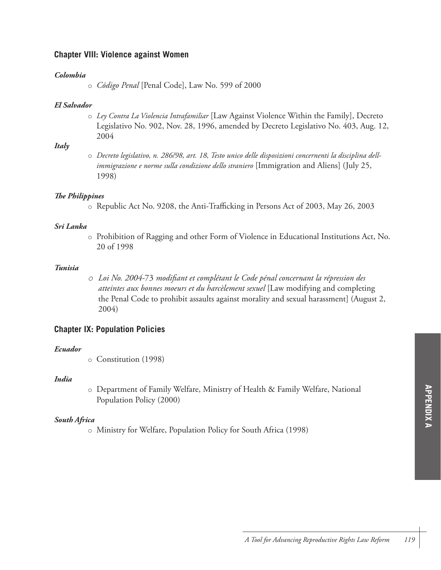## **Chapter VIII: Violence against Women**

## *Colombia*

## *El Salvador*

o *Ley Contra La Violencia Intrafamiliar* [Law Against Violence Within the Family], Decreto Legislativo No. 902, Nov. 28, 1996, amended by Decreto Legislativo No. 403, Aug. 12, 2004

## *Italy*

o *Decreto legislativo, n. 286/98, art. 18, Testo unico delle disposizioni concernenti la disciplina dellimmigrazione e norme sulla condizione dello straniero* [Immigration and Aliens] (July 25, 1998)

## *The Philippines*

o Republic Act No. 9208, the Anti-Trafficking in Persons Act of 2003, May 26, 2003

## *Sri Lanka*

o Prohibition of Ragging and other Form of Violence in Educational Institutions Act, No. 20 of 1998

## *Tunisia*

*o Loi No. 2004-*73 *modifiant et complétant le Code pénal concernant la répression des atteintes aux bonnes moeurs et du harcèlement sexuel* [Law modifying and completing the Penal Code to prohibit assaults against morality and sexual harassment] (August 2, 2004)

## **Chapter IX: Population Policies**

## *Ecuador*

o Constitution (1998)

## *India*

o Department of Family Welfare, Ministry of Health & Family Welfare, National Population Policy (2000)

## *South Africa*

o Ministry for Welfare, Population Policy for South Africa (1998)

o *Código Penal* [Penal Code], Law No. 599 of 2000